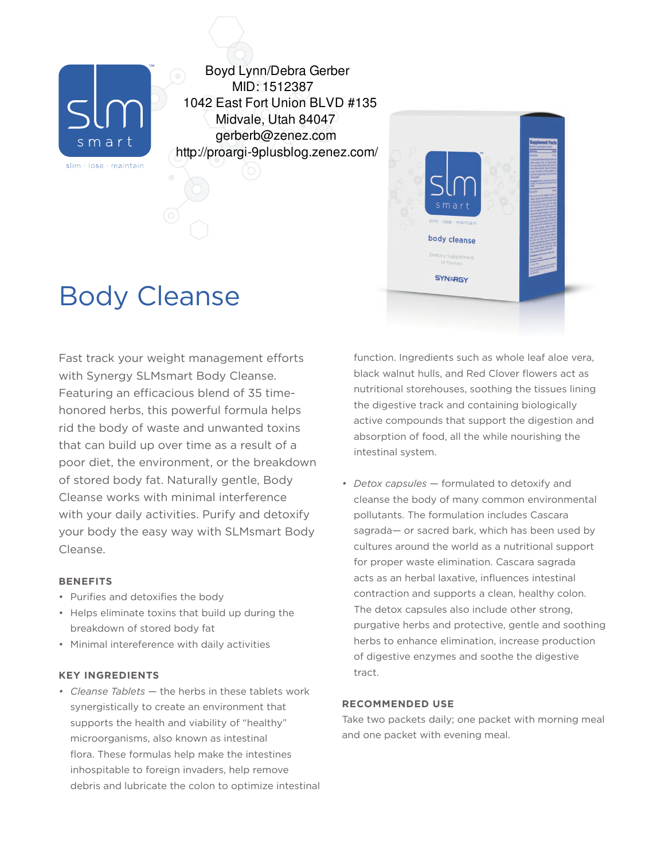

Boyd Lynn/Debra Gerber MID: 1512387 1042 East Fort Union BLVD #135 Midvale, Utah 84047 gerberb@zenez.com http://proargi-9plusblog.zenez.com/

# Body Cleanse

Fast track your weight management efforts with Synergy SLMsmart Body Cleanse. Featuring an efficacious blend of 35 timehonored herbs, this powerful formula helps rid the body of waste and unwanted toxins that can build up over time as a result of a poor diet, the environment, or the breakdown of stored body fat. Naturally gentle, Body Cleanse works with minimal interference with your daily activities. Purify and detoxify your body the easy way with SLMsmart Body Cleanse.

## **BENEFITS**

- Purifies and detoxifies the body
- Helps eliminate toxins that build up during the breakdown of stored body fat
- Minimal intereference with daily activities

## **KEY INGREDIENTS**

*• Cleanse Tablets* — the herbs in these tablets work synergistically to create an environment that supports the health and viability of "healthy" microorganisms, also known as intestinal flora. These formulas help make the intestines inhospitable to foreign invaders, help remove debris and lubricate the colon to optimize intestinal function. Ingredients such as whole leaf aloe vera, black walnut hulls, and Red Clover flowers act as nutritional storehouses, soothing the tissues lining the digestive track and containing biologically active compounds that support the digestion and absorption of food, all the while nourishing the intestinal system.

body cleanse

**SYN=RGY** 

*• Detox capsules* — formulated to detoxify and cleanse the body of many common environmental pollutants. The formulation includes Cascara sagrada— or sacred bark, which has been used by cultures around the world as a nutritional support for proper waste elimination. Cascara sagrada acts as an herbal laxative, influences intestinal contraction and supports a clean, healthy colon. The detox capsules also include other strong, purgative herbs and protective, gentle and soothing herbs to enhance elimination, increase production of digestive enzymes and soothe the digestive tract.

## **RECOMMENDED USE**

Take two packets daily; one packet with morning meal and one packet with evening meal.